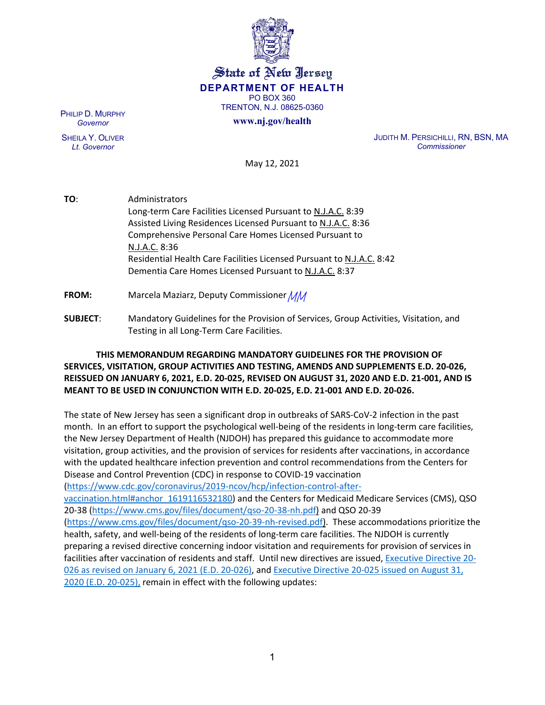

# State of New Jersey **DEPARTMENT OF HEALTH** PO BOX 360 TRENTON, N.J. 08625-0360

#### **www.nj.gov/health**

PHILIP D. MURPHY *Governor*

SHEILA Y. OLIVER *Lt. Governor*

JUDITH M. PERSICHILLI, RN, BSN, MA *Commissioner*

May 12, 2021

**TO**: Administrators Long-term Care Facilities Licensed Pursuant to N.J.A.C. 8:39 Assisted Living Residences Licensed Pursuant to N.J.A.C. 8:36 Comprehensive Personal Care Homes Licensed Pursuant to N.J.A.C. 8:36 Residential Health Care Facilities Licensed Pursuant to N.J.A.C. 8:42 Dementia Care Homes Licensed Pursuant to N.J.A.C. 8:37 **FROM:** Marcela Maziarz, Deputy Commissioner *MM* 

**SUBJECT**: Mandatory Guidelines for the Provision of Services, Group Activities, Visitation, and Testing in all Long-Term Care Facilities.

# **THIS MEMORANDUM REGARDING MANDATORY GUIDELINES FOR THE PROVISION OF SERVICES, VISITATION, GROUP ACTIVITIES AND TESTING, AMENDS AND SUPPLEMENTS E.D. 20-026, REISSUED ON JANUARY 6, 2021, E.D. 20-025, REVISED ON AUGUST 31, 2020 AND E.D. 21-001, AND IS MEANT TO BE USED IN CONJUNCTION WITH E.D. 20-025, E.D. 21-001 AND E.D. 20-026.**

The state of New Jersey has seen a significant drop in outbreaks of SARS-CoV-2 infection in the past month. In an effort to support the psychological well-being of the residents in long-term care facilities, the New Jersey Department of Health (NJDOH) has prepared this guidance to accommodate more visitation, group activities, and the provision of services for residents after vaccinations, in accordance with the updated healthcare infection prevention and control recommendations from the Centers for Disease and Control Prevention (CDC) in response to COVID-19 vaccination [\(https://www.cdc.gov/coronavirus/2019-ncov/hcp/infection-control-after](https://www.cdc.gov/coronavirus/2019-ncov/hcp/infection-control-after-vaccination.html#anchor_1619116532180)[vaccination.html#anchor\\_1619116532180\)](https://www.cdc.gov/coronavirus/2019-ncov/hcp/infection-control-after-vaccination.html#anchor_1619116532180) and the Centers for Medicaid Medicare Services (CMS), QSO 20-38 [\(https://www.cms.gov/files/document/qso-20-38-nh.pdf\)](https://www.cms.gov/files/document/qso-20-38-nh.pdf) and QSO 20-39 [\(https://www.cms.gov/files/document/qso-20-39-nh-revised.pdf\)](https://www.cms.gov/files/document/qso-20-39-nh-revised.pdf). These accommodations prioritize the health, safety, and well-being of the residents of long-term care facilities. The NJDOH is currently preparing a revised directive concerning indoor visitation and requirements for provision of services in facilities after vaccination of residents and staff. Until new directives are issued, [Executive Directive 20-](https://www.state.nj.us/health/legal/covid19/8-20_ExecutiveDirectiveNo20-026_LTCResumption_of_Svcs.pdf) [026 as revised on January 6, 2021](https://www.state.nj.us/health/legal/covid19/8-20_ExecutiveDirectiveNo20-026_LTCResumption_of_Svcs.pdf) (E.D. 20-026), and [Executive Directive 20-025 issued on August 31,](https://www.state.nj.us/health/legal/covid19/ED20-025VisitationDD.pdf) 

[2020 \(E.D. 20-025\),](https://www.state.nj.us/health/legal/covid19/ED20-025VisitationDD.pdf) remain in effect with the following updates: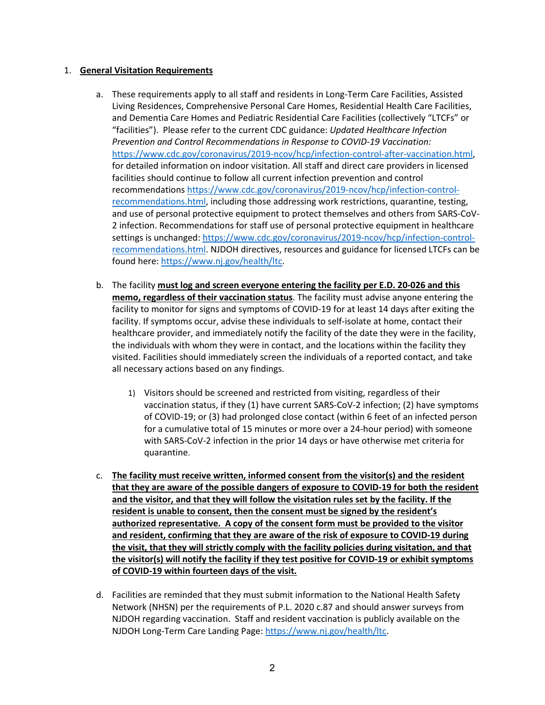#### 1. **General Visitation Requirements**

- a. These requirements apply to all staff and residents in Long-Term Care Facilities, Assisted Living Residences, Comprehensive Personal Care Homes, Residential Health Care Facilities, and Dementia Care Homes and Pediatric Residential Care Facilities (collectively "LTCFs" or "facilities"). Please refer to the current CDC guidance: *Updated Healthcare Infection Prevention and Control Recommendations in Response to COVID-19 Vaccination:*  [https://www.cdc.gov/coronavirus/2019-ncov/hcp/infection-control-after-vaccination.html,](https://www.cdc.gov/coronavirus/2019-ncov/hcp/infection-control-after-vaccination.html) for detailed information on indoor visitation. All staff and direct care providers in licensed facilities should continue to follow all current infection prevention and control recommendations [https://www.cdc.gov/coronavirus/2019-ncov/hcp/infection-control](https://www.cdc.gov/coronavirus/2019-ncov/hcp/infection-control-recommendations.html)[recommendations.html,](https://www.cdc.gov/coronavirus/2019-ncov/hcp/infection-control-recommendations.html) including those addressing work restrictions, quarantine, testing, and use of personal protective equipment to protect themselves and others from SARS-CoV-2 infection. Recommendations for staff use of personal protective equipment in healthcare settings is unchanged[: https://www.cdc.gov/coronavirus/2019-ncov/hcp/infection-control](https://www.cdc.gov/coronavirus/2019-ncov/hcp/infection-control-recommendations.html)[recommendations.html.](https://www.cdc.gov/coronavirus/2019-ncov/hcp/infection-control-recommendations.html) NJDOH directives, resources and guidance for licensed LTCFs can be found here: [https://www.nj.gov/health/ltc.](https://www.nj.gov/health/ltc)
- b. The facility **must log and screen everyone entering the facility per E.D. 20-026 and this memo, regardless of their vaccination status**. The facility must advise anyone entering the facility to monitor for signs and symptoms of COVID-19 for at least 14 days after exiting the facility. If symptoms occur, advise these individuals to self-isolate at home, contact their healthcare provider, and immediately notify the facility of the date they were in the facility, the individuals with whom they were in contact, and the locations within the facility they visited. Facilities should immediately screen the individuals of a reported contact, and take all necessary actions based on any findings.
	- 1) Visitors should be screened and restricted from visiting, regardless of their vaccination status, if they (1) have current SARS-CoV-2 infection; (2) have symptoms of COVID-19; or (3) had prolonged close contact (within 6 feet of an infected person for a cumulative total of 15 minutes or more over a 24-hour period) with someone with SARS-CoV-2 infection in the prior 14 days or have otherwise met criteria for quarantine.
- c. **The facility must receive written, informed consent from the visitor(s) and the resident that they are aware of the possible dangers of exposure to COVID-19 for both the resident and the visitor, and that they will follow the visitation rules set by the facility. If the resident is unable to consent, then the consent must be signed by the resident's authorized representative. A copy of the consent form must be provided to the visitor and resident, confirming that they are aware of the risk of exposure to COVID-19 during the visit, that they will strictly comply with the facility policies during visitation, and that the visitor(s) will notify the facility if they test positive for COVID-19 or exhibit symptoms of COVID-19 within fourteen days of the visit.**
- d. Facilities are reminded that they must submit information to the National Health Safety Network (NHSN) per the requirements of P.L. 2020 c.87 and should answer surveys from NJDOH regarding vaccination. Staff and resident vaccination is publicly available on the NJDOH Long-Term Care Landing Page: [https://www.nj.gov/health/ltc.](https://www.nj.gov/health/ltc)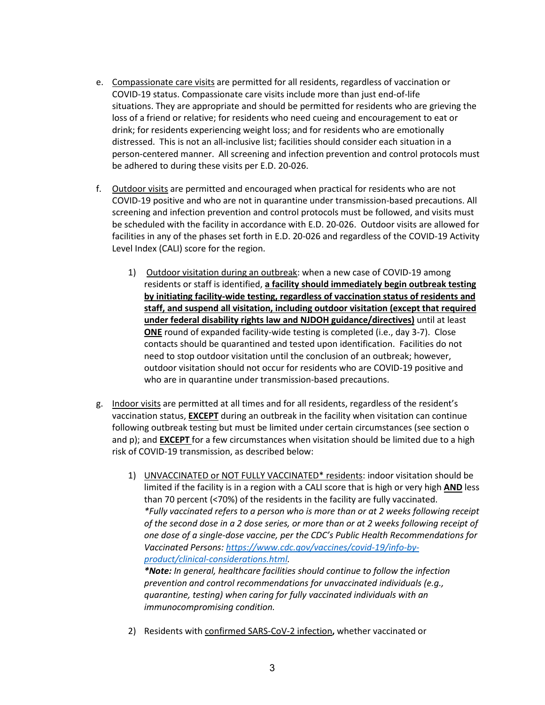- e. Compassionate care visits are permitted for all residents, regardless of vaccination or COVID-19 status. Compassionate care visits include more than just end-of-life situations. They are appropriate and should be permitted for residents who are grieving the loss of a friend or relative; for residents who need cueing and encouragement to eat or drink; for residents experiencing weight loss; and for residents who are emotionally distressed. This is not an all-inclusive list; facilities should consider each situation in a person-centered manner. All screening and infection prevention and control protocols must be adhered to during these visits per E.D. 20-026.
- f. Outdoor visits are permitted and encouraged when practical for residents who are not COVID-19 positive and who are not in quarantine under transmission-based precautions. All screening and infection prevention and control protocols must be followed, and visits must be scheduled with the facility in accordance with E.D. 20-026. Outdoor visits are allowed for facilities in any of the phases set forth in E.D. 20-026 and regardless of the COVID-19 Activity Level Index (CALI) score for the region.
	- 1) Outdoor visitation during an outbreak: when a new case of COVID-19 among residents or staff is identified, **a facility should immediately begin outbreak testing by initiating facility-wide testing, regardless of vaccination status of residents and staff, and suspend all visitation, including outdoor visitation (except that required under federal disability rights law and NJDOH guidance/directives)** until at least **ONE** round of expanded facility-wide testing is completed (i.e., day 3-7). Close contacts should be quarantined and tested upon identification. Facilities do not need to stop outdoor visitation until the conclusion of an outbreak; however, outdoor visitation should not occur for residents who are COVID-19 positive and who are in quarantine under transmission-based precautions.
- g. Indoor visits are permitted at all times and for all residents, regardless of the resident's vaccination status, **EXCEPT** during an outbreak in the facility when visitation can continue following outbreak testing but must be limited under certain circumstances (see section o and p); and **EXCEPT** for a few circumstances when visitation should be limited due to a high risk of COVID-19 transmission, as described below:
	- 1) UNVACCINATED or NOT FULLY VACCINATED\* residents: indoor visitation should be limited if the facility is in a region with a CALI score that is high or very high **AND** less than 70 percent (<70%) of the residents in the facility are fully vaccinated. *\*Fully vaccinated refers to a person who is more than or at 2 weeks following receipt of the second dose in a 2 dose series, or more than or at 2 weeks following receipt of one dose of a single-dose vaccine, per the CDC's Public Health Recommendations for Vaccinated Persons: [https://www.cdc.gov/vaccines/covid-19/info-by](https://www.cdc.gov/vaccines/covid-19/info-by-product/clinical-considerations.html)[product/clinical-considerations.html.](https://www.cdc.gov/vaccines/covid-19/info-by-product/clinical-considerations.html) \*Note: In general, healthcare facilities should continue to follow the infection*

*prevention and control recommendations for unvaccinated individuals (e.g., quarantine, testing) when caring for fully vaccinated individuals with an immunocompromising condition.*

2) Residents with confirmed SARS-CoV-2 infection**,** whether vaccinated or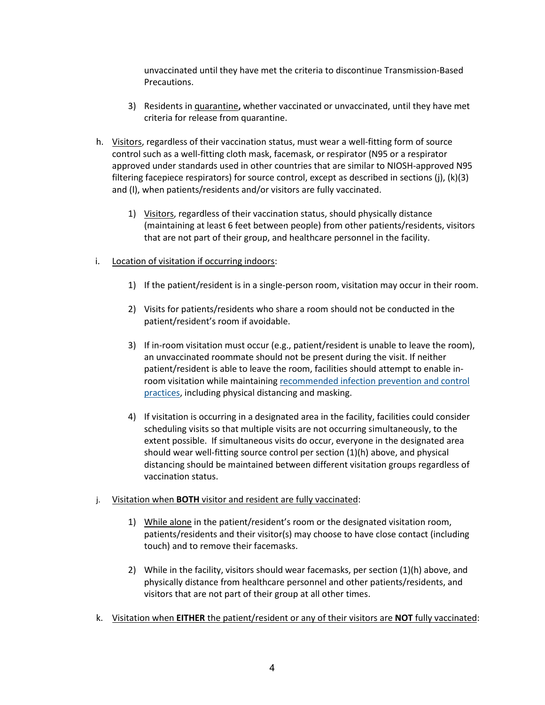unvaccinated until they have met the criteria to discontinue Transmission-Based Precautions.

- 3) Residents in quarantine**,** whether vaccinated or unvaccinated, until they have met criteria for release from quarantine.
- h. Visitors, regardless of their vaccination status, must wear a [well-fitting form of source](https://www.cdc.gov/coronavirus/2019-ncov/hcp/infection-control-recommendations.html)  [control such as a well-fitting cloth mask, facemask, or respirator](https://www.cdc.gov/coronavirus/2019-ncov/hcp/infection-control-recommendations.html) (N95 or a respirator approved under standards used in other countries that are similar to NIOSH-approved N95 filtering facepiece respirators) [for source control,](https://www.cdc.gov/coronavirus/2019-ncov/hcp/infection-control-recommendations.html) except as described in sections (j), (k)(3) and (l), when patients/residents and/or visitors are fully vaccinated.
	- 1) Visitors, regardless of their vaccination status, should physically distance (maintaining at least 6 feet between people) from other patients/residents, visitors that are not part of their group, and healthcare personnel in the facility.
- i. Location of visitation if occurring indoors:
	- 1) If the patient/resident is in a single-person room, visitation may occur in their room.
	- 2) Visits for patients/residents who share a room should not be conducted in the patient/resident's room if avoidable.
	- 3) If in-room visitation must occur (e.g., patient/resident is unable to leave the room), an unvaccinated roommate should not be present during the visit. If neither patient/resident is able to leave the room, facilities should attempt to enable inroom visitation while maintaining [recommended infection prevention and control](https://www.cms.gov/medicareprovider-enrollment-and-certificationsurveycertificationgeninfopolicy-and-memos-states-and/nursing-home-visitation-covid-19-revised) [practices,](https://www.cms.gov/medicareprovider-enrollment-and-certificationsurveycertificationgeninfopolicy-and-memos-states-and/nursing-home-visitation-covid-19-revised) including physical distancing and masking.
	- 4) If visitation is occurring in a designated area in the facility, facilities could consider scheduling visits so that multiple visits are not occurring simultaneously, to the extent possible. If simultaneous visits do occur, everyone in the designated area should wear well-fitting source control per section (1)(h) above, and physical distancing should be maintained between different visitation groups regardless of vaccination status.
- j. Visitation when **BOTH** visitor and resident are fully vaccinated:
	- 1) While alone in the patient/resident's room or the designated visitation room, patients/residents and their visitor(s) may choose to have close contact (including touch) and to remove their facemasks.
	- 2) While in the facility, visitors should wear facemasks, per section (1)(h) above, and physically distance from healthcare personnel and other patients/residents, and visitors that are not part of their group at all other times.
- k. Visitation when **EITHER** the patient/resident or any of their visitors are **NOT** fully vaccinated: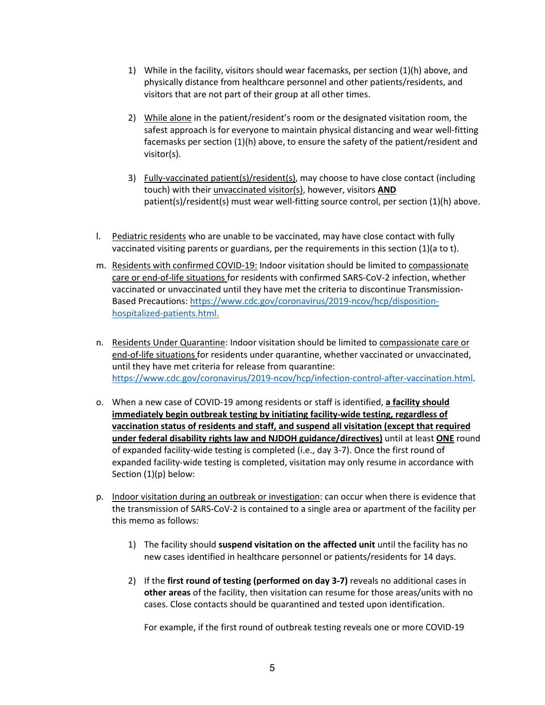- 1) While in the facility, visitors should wear facemasks, per section (1)(h) above, and physically distance from healthcare personnel and other patients/residents, and visitors that are not part of their group at all other times.
- 2) While alone in the patient/resident's room or the designated visitation room, the safest approach is for everyone to maintain physical distancing and wear well-fitting facemasks per section (1)(h) above, to ensure the safety of the patient/resident and visitor(s).
- 3) Fully-vaccinated patient(s)/resident(s), may choose to have close contact (including touch) with their unvaccinated visitor(s), however, visitors **AND** patient(s)/resident(s) must wear well-fitting source control, per section (1)(h) above.
- l. Pediatric residents who are unable to be vaccinated, may have close contact with fully vaccinated visiting parents or guardians, per the requirements in this section (1)(a to t).
- m. Residents with confirmed COVID-19: Indoor visitation should be limited to compassionate care or end-of-life situations for residents with confirmed SARS-CoV-2 infection, whether vaccinated or unvaccinated until they have met the criteria to discontinue Transmission-Based Precautions[: https://www.cdc.gov/coronavirus/2019-ncov/hcp/disposition](https://www.cdc.gov/coronavirus/2019-ncov/hcp/disposition-hospitalized-patients.html)[hospitalized-patients.html.](https://www.cdc.gov/coronavirus/2019-ncov/hcp/disposition-hospitalized-patients.html)
- n. Residents Under Quarantine: Indoor visitation should be limited to compassionate care or end-of-life situations for residents under quarantine, whether vaccinated or unvaccinated, until they have met criteria for release from quarantine: [https://www.cdc.gov/coronavirus/2019-ncov/hcp/infection-control-after-vaccination.html.](https://www.cdc.gov/coronavirus/2019-ncov/hcp/infection-control-after-vaccination.html)
- o. When a new case of COVID-19 among residents or staff is identified, **a facility should immediately begin outbreak testing by initiating facility-wide testing, regardless of vaccination status of residents and staff, and suspend all visitation (except that required under federal disability rights law and NJDOH guidance/directives)** until at least **ONE** round of expanded facility-wide testing is completed (i.e., day 3-7). Once the first round of expanded facility-wide testing is completed, visitation may only resume in accordance with Section (1)(p) below:
- p. Indoor visitation during an outbreak or investigation: can occur when there is evidence that the transmission of SARS-CoV-2 is contained to a single area or apartment of the facility per this memo as follows:
	- 1) The facility should **suspend visitation on the affected unit** until the facility has no new cases identified in healthcare personnel or patients/residents for 14 days.
	- 2) If the **first round of testing (performed on day 3-7)** reveals no additional cases in **other areas** of the facility, then visitation can resume for those areas/units with no cases. Close contacts should be quarantined and tested upon identification.

For example, if the first round of outbreak testing reveals one or more COVID-19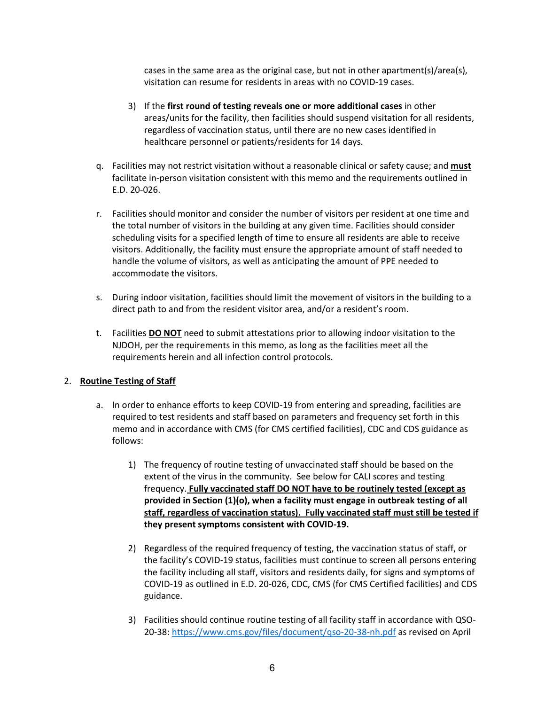cases in the same area as the original case, but not in other apartment(s)/area(s), visitation can resume for residents in areas with no COVID-19 cases.

- 3) If the **first round of testing reveals one or more additional cases** in other areas/units for the facility, then facilities should suspend visitation for all residents, regardless of vaccination status, until there are no new cases identified in healthcare personnel or patients/residents for 14 days.
- q. Facilities may not restrict visitation without a reasonable clinical or safety cause; and **must** facilitate in-person visitation consistent with this memo and the requirements outlined in E.D. 20-026.
- r. Facilities should monitor and consider the number of visitors per resident at one time and the total number of visitors in the building at any given time. Facilities should consider scheduling visits for a specified length of time to ensure all residents are able to receive visitors. Additionally, the facility must ensure the appropriate amount of staff needed to handle the volume of visitors, as well as anticipating the amount of PPE needed to accommodate the visitors.
- s. During indoor visitation, facilities should limit the movement of visitors in the building to a direct path to and from the resident visitor area, and/or a resident's room.
- t. Facilities **DO NOT** need to submit attestations prior to allowing indoor visitation to the NJDOH, per the requirements in this memo, as long as the facilities meet all the requirements herein and all infection control protocols.

## 2. **Routine Testing of Staff**

- a. In order to enhance efforts to keep COVID-19 from entering and spreading, facilities are required to test residents and staff based on parameters and frequency set forth in this memo and in accordance with CMS (for CMS certified facilities), CDC and CDS guidance as follows:
	- 1) The frequency of routine testing of unvaccinated staff should be based on the extent of the virus in the community. See below for CALI scores and testing frequency. **Fully vaccinated staff DO NOT have to be routinely tested (except as provided in Section (1)(o), when a facility must engage in outbreak testing of all staff, regardless of vaccination status). Fully vaccinated staff must still be tested if they present symptoms consistent with COVID-19.**
	- 2) Regardless of the required frequency of testing, the vaccination status of staff, or the facility's COVID-19 status, facilities must continue to screen all persons entering the facility including all staff, visitors and residents daily, for signs and symptoms of COVID-19 as outlined in E.D. 20-026, CDC, CMS (for CMS Certified facilities) and CDS guidance.
	- 3) Facilities should continue routine testing of all facility staff in accordance with QSO-20-38:<https://www.cms.gov/files/document/qso-20-38-nh.pdf> as revised on April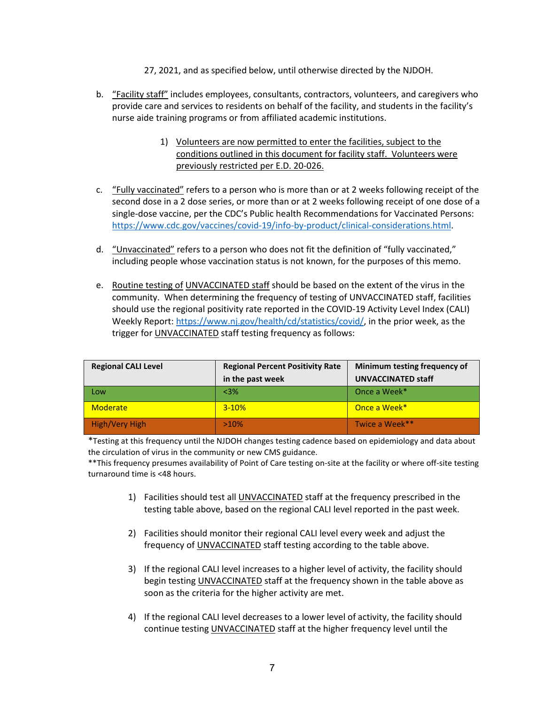- 27, 2021, and as specified below, until otherwise directed by the NJDOH.
- b. "Facility staff" includes employees, consultants, contractors, volunteers, and caregivers who provide care and services to residents on behalf of the facility, and students in the facility's nurse aide training programs or from affiliated academic institutions.
	- 1) Volunteers are now permitted to enter the facilities, subject to the conditions outlined in this document for facility staff. Volunteers were previously restricted per E.D. 20-026.
- c. "Fully vaccinated" refers to a person who is more than or at 2 weeks following receipt of the second dose in a 2 dose series, or more than or at 2 weeks following receipt of one dose of a single-dose vaccine, per the CDC's Public health Recommendations for Vaccinated Persons: [https://www.cdc.gov/vaccines/covid-19/info-by-product/clinical-considerations.html.](https://www.cdc.gov/vaccines/covid-19/info-by-product/clinical-considerations.html)
- d. "Unvaccinated" refers to a person who does not fit the definition of "fully vaccinated," including people whose vaccination status is not known, for the purposes of this memo.
- e. Routine testing of UNVACCINATED staff should be based on the extent of the virus in the community. When determining the frequency of testing of UNVACCINATED staff, facilities should use the regional positivity rate reported in the COVID-19 Activity Level Index (CALI) Weekly Report[: https://www.nj.gov/health/cd/statistics/covid/,](https://www.nj.gov/health/cd/statistics/covid/) in the prior week, as the trigger for UNVACCINATED staff testing frequency as follows:

| <b>Regional CALI Level</b> | <b>Regional Percent Positivity Rate</b> | Minimum testing frequency of |
|----------------------------|-----------------------------------------|------------------------------|
|                            | in the past week                        | <b>UNVACCINATED staff</b>    |
| $\blacksquare$ Low         | $<3\%$                                  | Once a Week*                 |
| Moderate                   | $3 - 10%$                               | Once a Week*                 |
| High/Very High             | $>10\%$                                 | Twice a Week**               |

\*Testing at this frequency until the NJDOH changes testing cadence based on epidemiology and data about the circulation of virus in the community or new CMS guidance.

\*\*This frequency presumes availability of Point of Care testing on-site at the facility or where off-site testing turnaround time is <48 hours.

- 1) Facilities should test all UNVACCINATED staff at the frequency prescribed in the testing table above, based on the regional CALI level reported in the past week.
- 2) Facilities should monitor their regional CALI level every week and adjust the frequency of UNVACCINATED staff testing according to the table above.
- 3) If the regional CALI level increases to a higher level of activity, the facility should begin testing UNVACCINATED staff at the frequency shown in the table above as soon as the criteria for the higher activity are met.
- 4) If the regional CALI level decreases to a lower level of activity, the facility should continue testing UNVACCINATED staff at the higher frequency level until the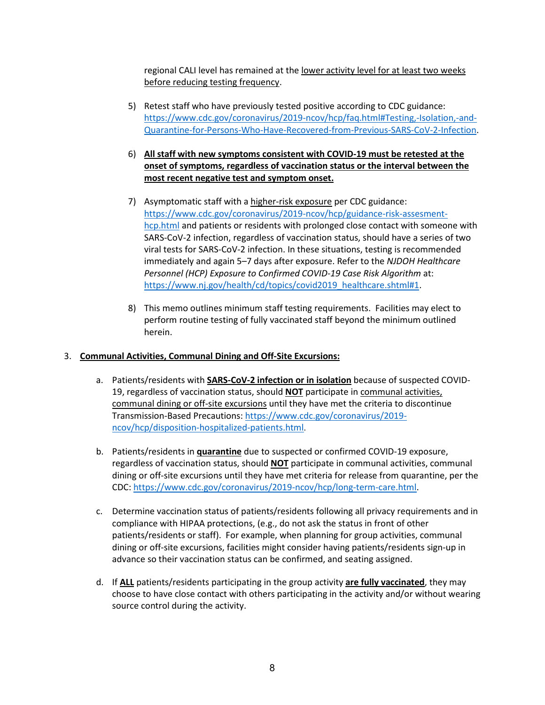regional CALI level has remained at the lower activity level for at least two weeks before reducing testing frequency.

- 5) Retest staff who have previously tested positive according to CDC guidance: [https://www.cdc.gov/coronavirus/2019-ncov/hcp/faq.html#Testing,-Isolation,-and-](https://www.cdc.gov/coronavirus/2019-ncov/hcp/faq.html#Testing,-Isolation,-and-Quarantine-for-Persons-Who-Have-Recovered-from-Previous-SARS-CoV-2-Infection)[Quarantine-for-Persons-Who-Have-Recovered-from-Previous-SARS-CoV-2-Infection.](https://www.cdc.gov/coronavirus/2019-ncov/hcp/faq.html#Testing,-Isolation,-and-Quarantine-for-Persons-Who-Have-Recovered-from-Previous-SARS-CoV-2-Infection)
- 6) **All staff with new symptoms consistent with COVID-19 must be retested at the onset of symptoms, regardless of vaccination status or the interval between the most recent negative test and symptom onset.**
- 7) Asymptomatic staff with a higher-risk exposure per CDC guidance: [https://www.cdc.gov/coronavirus/2019-ncov/hcp/guidance-risk-assesment](https://www.cdc.gov/coronavirus/2019-ncov/hcp/guidance-risk-assesment-hcp.htmla)[hcp.html](https://www.cdc.gov/coronavirus/2019-ncov/hcp/guidance-risk-assesment-hcp.htmla) and patients or residents with prolonged close contact with someone with SARS-CoV-2 infection, regardless of vaccination status, should have a series of two viral tests for SARS-CoV-2 infection. In these situations, testing is recommended immediately and again 5–7 days after exposure. Refer to the *NJDOH [Healthcare](https://www.nj.gov/health/cd/documents/topics/NCOV/Healthcare%20Personnel%20(HCP)%20Exposure%20to%20Confirmed%20COVID-19%20Case%20Risk%20Algorithm.pdf)  [Personnel \(HCP\) Exposure to Confirmed COVID-19 Case Risk Algorithm](https://www.nj.gov/health/cd/documents/topics/NCOV/Healthcare%20Personnel%20(HCP)%20Exposure%20to%20Confirmed%20COVID-19%20Case%20Risk%20Algorithm.pdf)* at: [https://www.nj.gov/health/cd/topics/covid2019\\_healthcare.shtml#1.](https://www.nj.gov/health/cd/topics/covid2019_healthcare.shtml#1)
- 8) This memo outlines minimum staff testing requirements. Facilities may elect to perform routine testing of fully vaccinated staff beyond the minimum outlined herein.

## 3. **Communal Activities, Communal Dining and Off-Site Excursions:**

- a. Patients/residents with **SARS-CoV-2 infection or in isolation** because of suspected COVID-19, regardless of vaccination status, should **NOT** participate in communal activities, communal dining or off-site excursions until they have met the criteria to discontinue Transmission-Based Precautions[: https://www.cdc.gov/coronavirus/2019](https://www.cdc.gov/coronavirus/2019-ncov/hcp/disposition-hospitalized-patients.html) [ncov/hcp/disposition-hospitalized-patients.html.](https://www.cdc.gov/coronavirus/2019-ncov/hcp/disposition-hospitalized-patients.html)
- b. Patients/residents in **quarantine** due to suspected or confirmed COVID-19 exposure, regardless of vaccination status, should **NOT** participate in communal activities, communal dining or off-site excursions until they have met criteria for release from quarantine, per the CDC: [https://www.cdc.gov/coronavirus/2019-ncov/hcp/long-term-care.html.](https://www.cdc.gov/coronavirus/2019-ncov/hcp/long-term-care.html)
- c. Determine vaccination status of patients/residents following all privacy requirements and in compliance with HIPAA protections, (e.g., do not ask the status in front of other patients/residents or staff). For example, when planning for group activities, communal dining or off-site excursions, facilities might consider having patients/residents sign-up in advance so their vaccination status can be confirmed, and seating assigned.
- d. If **ALL** patients/residents participating in the group activity **are fully vaccinated**, they may choose to have close contact with others participating in the activity and/or without wearing source control during the activity.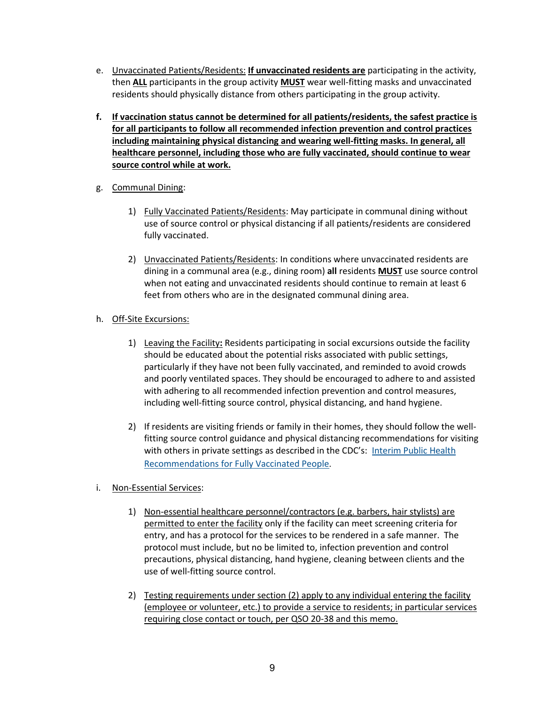- e. Unvaccinated Patients/Residents: **If unvaccinated residents are** participating in the activity, then **ALL** participants in the group activity **MUST** wear well-fitting masks and unvaccinated residents should physically distance from others participating in the group activity.
- **f. If vaccination status cannot be determined for all patients/residents, the safest practice is for all participants to follow all recommended infection prevention and control practices including maintaining physical distancing and wearing well-fitting masks. In general, all healthcare personnel, including those who are fully vaccinated, should continue to wear source control while at work.**
- g. Communal Dining:
	- 1) Fully Vaccinated Patients/Residents: May participate in communal dining without use of source control or physical distancing if all patients/residents are considered fully vaccinated.
	- 2) Unvaccinated Patients/Residents: In conditions where unvaccinated residents are dining in a communal area (e.g., dining room) **all** residents **MUST** use source control when not eating and unvaccinated residents should continue to remain at least 6 feet from others who are in the designated communal dining area.
- h. Off-Site Excursions:
	- 1) Leaving the Facility**:** Residents participating in social excursions outside the facility should be educated about the potential risks associated with public settings, particularly if they have not been fully vaccinated, and reminded to avoid crowds and poorly ventilated spaces. They should be encouraged to adhere to and assisted with adhering to all recommended infection prevention and control measures, including well-fitting source control, physical distancing, and hand hygiene.
	- 2) If residents are visiting friends or family in their homes, they should follow the wellfitting source control guidance and physical distancing recommendations for visiting with others in private settings as described in the CDC's: Interim Public Health [Recommendations for Fully Vaccinated People](https://www.cdc.gov/coronavirus/2019-ncov/vaccines/fully-vaccinated-guidance.html).
- i. Non-Essential Services:
	- 1) Non-essential healthcare personnel/contractors (e.g. barbers, hair stylists) are permitted to enter the facility only if the facility can meet screening criteria for entry, and has a protocol for the services to be rendered in a safe manner. The protocol must include, but no be limited to, infection prevention and control precautions, physical distancing, hand hygiene, cleaning between clients and the use of well-fitting source control.
	- 2) Testing requirements under section (2) apply to any individual entering the facility (employee or volunteer, etc.) to provide a service to residents; in particular services requiring close contact or touch, per QSO 20-38 and this memo.